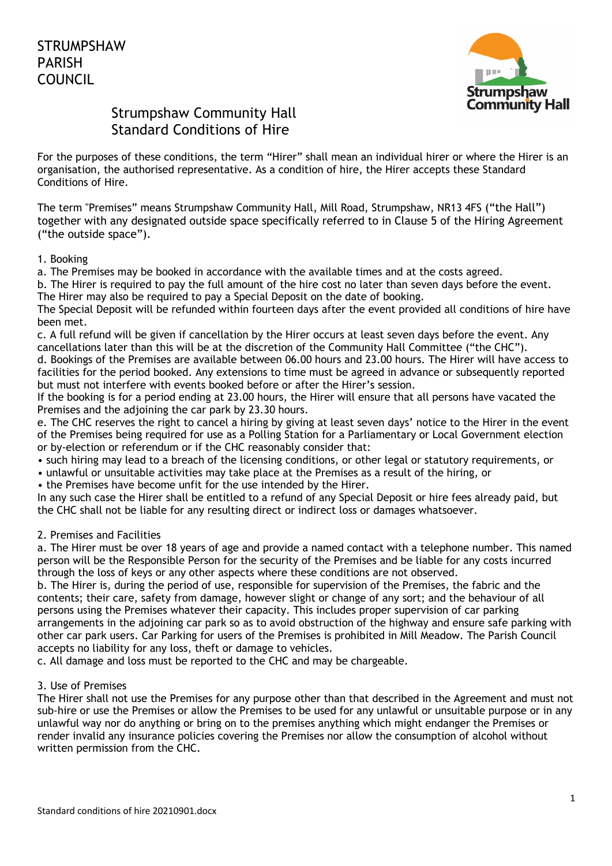

# Strumpshaw Community Hall Standard Conditions of Hire

For the purposes of these conditions, the term "Hirer" shall mean an individual hirer or where the Hirer is an organisation, the authorised representative. As a condition of hire, the Hirer accepts these Standard Conditions of Hire.

The term "Premises" means Strumpshaw Community Hall, Mill Road, Strumpshaw, NR13 4FS ("the Hall") together with any designated outside space specifically referred to in Clause 5 of the Hiring Agreement ("the outside space").

### 1. Booking

a. The Premises may be booked in accordance with the available times and at the costs agreed.

b. The Hirer is required to pay the full amount of the hire cost no later than seven days before the event. The Hirer may also be required to pay a Special Deposit on the date of booking.

The Special Deposit will be refunded within fourteen days after the event provided all conditions of hire have been met.

c. A full refund will be given if cancellation by the Hirer occurs at least seven days before the event. Any cancellations later than this will be at the discretion of the Community Hall Committee ("the CHC").

d. Bookings of the Premises are available between 06.00 hours and 23.00 hours. The Hirer will have access to facilities for the period booked. Any extensions to time must be agreed in advance or subsequently reported but must not interfere with events booked before or after the Hirer's session.

If the booking is for a period ending at 23.00 hours, the Hirer will ensure that all persons have vacated the Premises and the adjoining the car park by 23.30 hours.

e. The CHC reserves the right to cancel a hiring by giving at least seven days' notice to the Hirer in the event of the Premises being required for use as a Polling Station for a Parliamentary or Local Government election or by-election or referendum or if the CHC reasonably consider that:

- such hiring may lead to a breach of the licensing conditions, or other legal or statutory requirements, or
- unlawful or unsuitable activities may take place at the Premises as a result of the hiring, or

• the Premises have become unfit for the use intended by the Hirer.

In any such case the Hirer shall be entitled to a refund of any Special Deposit or hire fees already paid, but the CHC shall not be liable for any resulting direct or indirect loss or damages whatsoever.

## 2. Premises and Facilities

a. The Hirer must be over 18 years of age and provide a named contact with a telephone number. This named person will be the Responsible Person for the security of the Premises and be liable for any costs incurred through the loss of keys or any other aspects where these conditions are not observed.

b. The Hirer is, during the period of use, responsible for supervision of the Premises, the fabric and the contents; their care, safety from damage, however slight or change of any sort; and the behaviour of all persons using the Premises whatever their capacity. This includes proper supervision of car parking arrangements in the adjoining car park so as to avoid obstruction of the highway and ensure safe parking with other car park users. Car Parking for users of the Premises is prohibited in Mill Meadow. The Parish Council accepts no liability for any loss, theft or damage to vehicles.

c. All damage and loss must be reported to the CHC and may be chargeable.

## 3. Use of Premises

The Hirer shall not use the Premises for any purpose other than that described in the Agreement and must not sub-hire or use the Premises or allow the Premises to be used for any unlawful or unsuitable purpose or in any unlawful way nor do anything or bring on to the premises anything which might endanger the Premises or render invalid any insurance policies covering the Premises nor allow the consumption of alcohol without written permission from the CHC.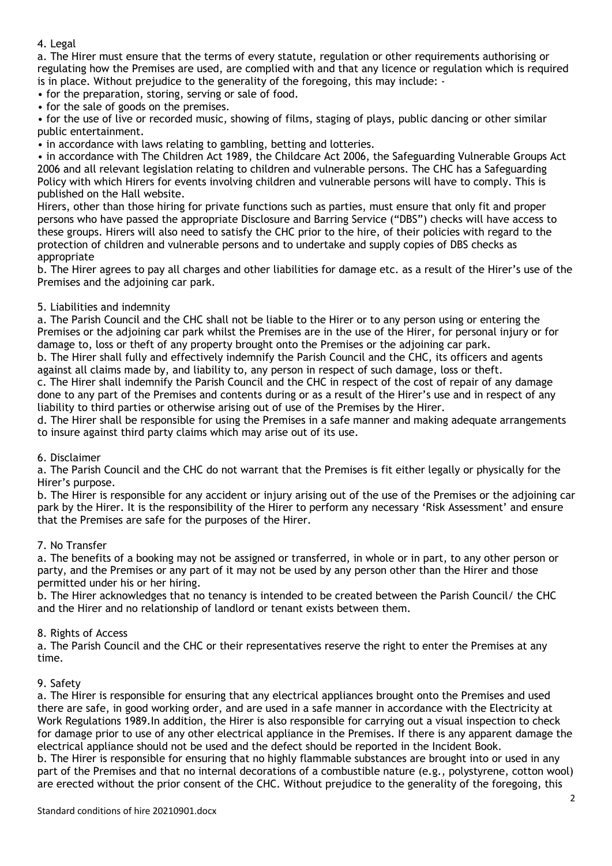#### 4. Legal

a. The Hirer must ensure that the terms of every statute, regulation or other requirements authorising or regulating how the Premises are used, are complied with and that any licence or regulation which is required is in place. Without prejudice to the generality of the foregoing, this may include: -

• for the preparation, storing, serving or sale of food.

• for the sale of goods on the premises.

• for the use of live or recorded music, showing of films, staging of plays, public dancing or other similar public entertainment.

• in accordance with laws relating to gambling, betting and lotteries.

• in accordance with The Children Act 1989, the Childcare Act 2006, the Safeguarding Vulnerable Groups Act 2006 and all relevant legislation relating to children and vulnerable persons. The CHC has a Safeguarding Policy with which Hirers for events involving children and vulnerable persons will have to comply. This is published on the Hall website.

Hirers, other than those hiring for private functions such as parties, must ensure that only fit and proper persons who have passed the appropriate Disclosure and Barring Service ("DBS") checks will have access to these groups. Hirers will also need to satisfy the CHC prior to the hire, of their policies with regard to the protection of children and vulnerable persons and to undertake and supply copies of DBS checks as appropriate

b. The Hirer agrees to pay all charges and other liabilities for damage etc. as a result of the Hirer's use of the Premises and the adjoining car park.

### 5. Liabilities and indemnity

a. The Parish Council and the CHC shall not be liable to the Hirer or to any person using or entering the Premises or the adjoining car park whilst the Premises are in the use of the Hirer, for personal injury or for damage to, loss or theft of any property brought onto the Premises or the adjoining car park.

b. The Hirer shall fully and effectively indemnify the Parish Council and the CHC, its officers and agents against all claims made by, and liability to, any person in respect of such damage, loss or theft.

c. The Hirer shall indemnify the Parish Council and the CHC in respect of the cost of repair of any damage done to any part of the Premises and contents during or as a result of the Hirer's use and in respect of any liability to third parties or otherwise arising out of use of the Premises by the Hirer.

d. The Hirer shall be responsible for using the Premises in a safe manner and making adequate arrangements to insure against third party claims which may arise out of its use.

#### 6. Disclaimer

a. The Parish Council and the CHC do not warrant that the Premises is fit either legally or physically for the Hirer's purpose.

b. The Hirer is responsible for any accident or injury arising out of the use of the Premises or the adjoining car park by the Hirer. It is the responsibility of the Hirer to perform any necessary 'Risk Assessment' and ensure that the Premises are safe for the purposes of the Hirer.

#### 7. No Transfer

a. The benefits of a booking may not be assigned or transferred, in whole or in part, to any other person or party, and the Premises or any part of it may not be used by any person other than the Hirer and those permitted under his or her hiring.

b. The Hirer acknowledges that no tenancy is intended to be created between the Parish Council/ the CHC and the Hirer and no relationship of landlord or tenant exists between them.

#### 8. Rights of Access

a. The Parish Council and the CHC or their representatives reserve the right to enter the Premises at any time.

#### 9. Safety

a. The Hirer is responsible for ensuring that any electrical appliances brought onto the Premises and used there are safe, in good working order, and are used in a safe manner in accordance with the Electricity at Work Regulations 1989.In addition, the Hirer is also responsible for carrying out a visual inspection to check for damage prior to use of any other electrical appliance in the Premises. If there is any apparent damage the electrical appliance should not be used and the defect should be reported in the Incident Book. b. The Hirer is responsible for ensuring that no highly flammable substances are brought into or used in any part of the Premises and that no internal decorations of a combustible nature (e.g., polystyrene, cotton wool) are erected without the prior consent of the CHC. Without prejudice to the generality of the foregoing, this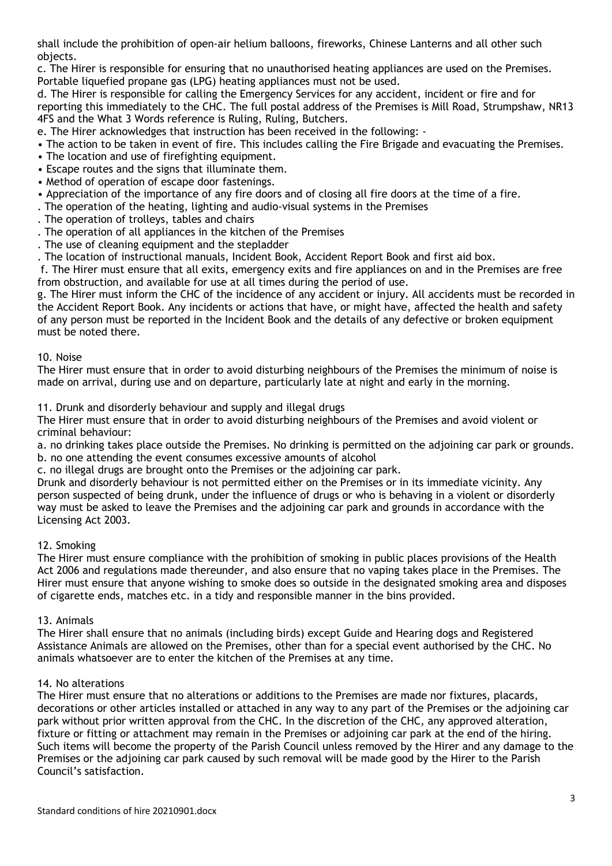shall include the prohibition of open-air helium balloons, fireworks, Chinese Lanterns and all other such objects.

c. The Hirer is responsible for ensuring that no unauthorised heating appliances are used on the Premises. Portable liquefied propane gas (LPG) heating appliances must not be used.

d. The Hirer is responsible for calling the Emergency Services for any accident, incident or fire and for reporting this immediately to the CHC. The full postal address of the Premises is Mill Road, Strumpshaw, NR13 4FS and the What 3 Words reference is Ruling, Ruling, Butchers.

e. The Hirer acknowledges that instruction has been received in the following: -

- The action to be taken in event of fire. This includes calling the Fire Brigade and evacuating the Premises.
- The location and use of firefighting equipment.
- Escape routes and the signs that illuminate them.
- Method of operation of escape door fastenings.
- Appreciation of the importance of any fire doors and of closing all fire doors at the time of a fire.
- . The operation of the heating, lighting and audio-visual systems in the Premises
- . The operation of trolleys, tables and chairs
- . The operation of all appliances in the kitchen of the Premises
- . The use of cleaning equipment and the stepladder
- . The location of instructional manuals, Incident Book, Accident Report Book and first aid box.

f. The Hirer must ensure that all exits, emergency exits and fire appliances on and in the Premises are free from obstruction, and available for use at all times during the period of use.

g. The Hirer must inform the CHC of the incidence of any accident or injury. All accidents must be recorded in the Accident Report Book. Any incidents or actions that have, or might have, affected the health and safety of any person must be reported in the Incident Book and the details of any defective or broken equipment must be noted there.

#### 10. Noise

The Hirer must ensure that in order to avoid disturbing neighbours of the Premises the minimum of noise is made on arrival, during use and on departure, particularly late at night and early in the morning.

11. Drunk and disorderly behaviour and supply and illegal drugs

The Hirer must ensure that in order to avoid disturbing neighbours of the Premises and avoid violent or criminal behaviour:

a. no drinking takes place outside the Premises. No drinking is permitted on the adjoining car park or grounds. b. no one attending the event consumes excessive amounts of alcohol

c. no illegal drugs are brought onto the Premises or the adjoining car park.

Drunk and disorderly behaviour is not permitted either on the Premises or in its immediate vicinity. Any person suspected of being drunk, under the influence of drugs or who is behaving in a violent or disorderly way must be asked to leave the Premises and the adjoining car park and grounds in accordance with the Licensing Act 2003.

## 12. Smoking

The Hirer must ensure compliance with the prohibition of smoking in public places provisions of the Health Act 2006 and regulations made thereunder, and also ensure that no vaping takes place in the Premises. The Hirer must ensure that anyone wishing to smoke does so outside in the designated smoking area and disposes of cigarette ends, matches etc. in a tidy and responsible manner in the bins provided.

#### 13. Animals

The Hirer shall ensure that no animals (including birds) except Guide and Hearing dogs and Registered Assistance Animals are allowed on the Premises, other than for a special event authorised by the CHC. No animals whatsoever are to enter the kitchen of the Premises at any time.

#### 14. No alterations

The Hirer must ensure that no alterations or additions to the Premises are made nor fixtures, placards, decorations or other articles installed or attached in any way to any part of the Premises or the adjoining car park without prior written approval from the CHC. In the discretion of the CHC, any approved alteration, fixture or fitting or attachment may remain in the Premises or adjoining car park at the end of the hiring. Such items will become the property of the Parish Council unless removed by the Hirer and any damage to the Premises or the adjoining car park caused by such removal will be made good by the Hirer to the Parish Council's satisfaction.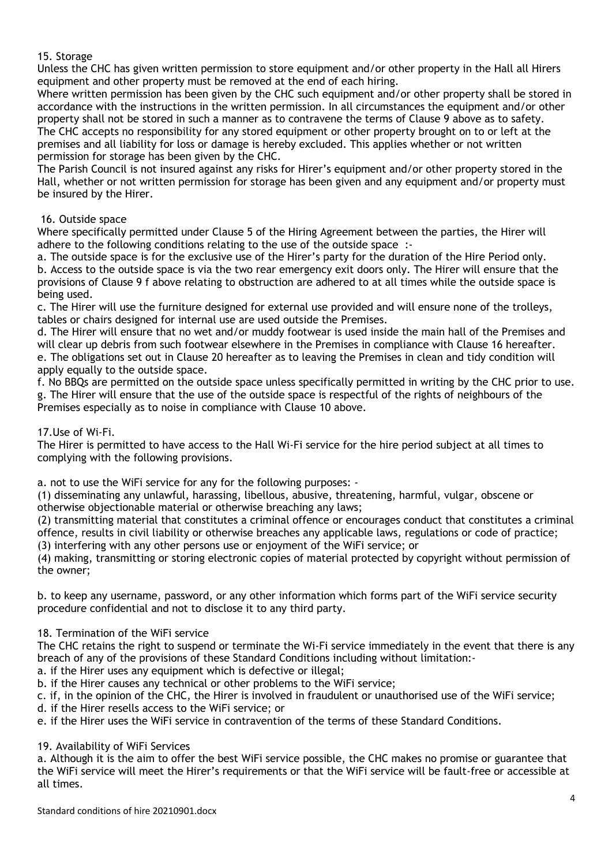15. Storage

Unless the CHC has given written permission to store equipment and/or other property in the Hall all Hirers equipment and other property must be removed at the end of each hiring.

Where written permission has been given by the CHC such equipment and/or other property shall be stored in accordance with the instructions in the written permission. In all circumstances the equipment and/or other property shall not be stored in such a manner as to contravene the terms of Clause 9 above as to safety. The CHC accepts no responsibility for any stored equipment or other property brought on to or left at the premises and all liability for loss or damage is hereby excluded. This applies whether or not written permission for storage has been given by the CHC.

The Parish Council is not insured against any risks for Hirer's equipment and/or other property stored in the Hall, whether or not written permission for storage has been given and any equipment and/or property must be insured by the Hirer.

## 16. Outside space

Where specifically permitted under Clause 5 of the Hiring Agreement between the parties, the Hirer will adhere to the following conditions relating to the use of the outside space :-

a. The outside space is for the exclusive use of the Hirer's party for the duration of the Hire Period only. b. Access to the outside space is via the two rear emergency exit doors only. The Hirer will ensure that the provisions of Clause 9 f above relating to obstruction are adhered to at all times while the outside space is being used.

c. The Hirer will use the furniture designed for external use provided and will ensure none of the trolleys, tables or chairs designed for internal use are used outside the Premises.

d. The Hirer will ensure that no wet and/or muddy footwear is used inside the main hall of the Premises and will clear up debris from such footwear elsewhere in the Premises in compliance with Clause 16 hereafter. e. The obligations set out in Clause 20 hereafter as to leaving the Premises in clean and tidy condition will apply equally to the outside space.

f. No BBQs are permitted on the outside space unless specifically permitted in writing by the CHC prior to use. g. The Hirer will ensure that the use of the outside space is respectful of the rights of neighbours of the Premises especially as to noise in compliance with Clause 10 above.

## 17.Use of Wi-Fi.

The Hirer is permitted to have access to the Hall Wi-Fi service for the hire period subject at all times to complying with the following provisions.

a. not to use the WiFi service for any for the following purposes: -

(1) disseminating any unlawful, harassing, libellous, abusive, threatening, harmful, vulgar, obscene or otherwise objectionable material or otherwise breaching any laws;

(2) transmitting material that constitutes a criminal offence or encourages conduct that constitutes a criminal offence, results in civil liability or otherwise breaches any applicable laws, regulations or code of practice;

(3) interfering with any other persons use or enjoyment of the WiFi service; or

(4) making, transmitting or storing electronic copies of material protected by copyright without permission of the owner;

b. to keep any username, password, or any other information which forms part of the WiFi service security procedure confidential and not to disclose it to any third party.

## 18. Termination of the WiFi service

The CHC retains the right to suspend or terminate the Wi-Fi service immediately in the event that there is any breach of any of the provisions of these Standard Conditions including without limitation:-

a. if the Hirer uses any equipment which is defective or illegal;

b. if the Hirer causes any technical or other problems to the WiFi service;

c. if, in the opinion of the CHC, the Hirer is involved in fraudulent or unauthorised use of the WiFi service;

d. if the Hirer resells access to the WiFi service; or

e. if the Hirer uses the WiFi service in contravention of the terms of these Standard Conditions.

## 19. Availability of WiFi Services

a. Although it is the aim to offer the best WiFi service possible, the CHC makes no promise or guarantee that the WiFi service will meet the Hirer's requirements or that the WiFi service will be fault-free or accessible at all times.